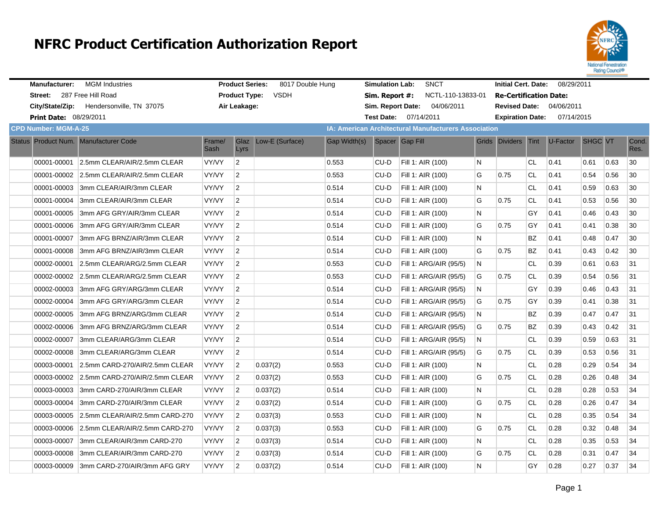

| <b>Manufacturer:</b>          | <b>MGM</b> Industries                      |                | <b>Product Series:</b> | 8017 Double Hung |              | <b>Simulation Lab:</b> | <b>SNCT</b>                                                 |   | <b>Initial Cert. Date:</b>    |           | 08/29/2011                      |         |      |               |
|-------------------------------|--------------------------------------------|----------------|------------------------|------------------|--------------|------------------------|-------------------------------------------------------------|---|-------------------------------|-----------|---------------------------------|---------|------|---------------|
| Street: 287 Free Hill Road    |                                            |                | <b>Product Type:</b>   | <b>VSDH</b>      |              | Sim. Report #:         | NCTL-110-13833-01                                           |   | <b>Re-Certification Date:</b> |           |                                 |         |      |               |
| City/State/Zip:               | Hendersonville, TN 37075                   |                | Air Leakage:           |                  |              |                        | 04/06/2011<br>Sim. Report Date:                             |   |                               |           | <b>Revised Date: 04/06/2011</b> |         |      |               |
| <b>Print Date: 08/29/2011</b> |                                            |                |                        |                  |              | <b>Test Date:</b>      | 07/14/2011                                                  |   | <b>Expiration Date:</b>       |           | 07/14/2015                      |         |      |               |
| <b>CPD Number: MGM-A-25</b>   |                                            |                |                        |                  |              |                        | <b>IA: American Architectural Manufacturers Association</b> |   |                               |           |                                 |         |      |               |
|                               | Status Product Num. Manufacturer Code      | Frame/<br>Sash | Glaz<br>Lyrs           | Low-E (Surface)  | Gap Width(s) |                        | Spacer Gap Fill                                             |   | Grids Dividers Tint           |           | U-Factor                        | SHGC VT |      | Cond.<br>Res. |
| 00001-00001                   | 2.5mm CLEAR/AIR/2.5mm CLEAR                | VY/VY          | $\overline{2}$         |                  | 0.553        | CU-D                   | Fill 1: AIR (100)                                           | N |                               | <b>CL</b> | 0.41                            | 0.61    | 0.63 | 30            |
|                               | 00001-00002 2.5mm CLEAR/AIR/2.5mm CLEAR    | VY/VY          | $\overline{2}$         |                  | 0.553        | CU-D                   | Fill 1: AIR (100)                                           | G | 0.75                          | <b>CL</b> | 0.41                            | 0.54    | 0.56 | 30            |
|                               | 00001-00003 3mm CLEAR/AIR/3mm CLEAR        | VY/VY          | $\overline{2}$         |                  | 0.514        | CU-D                   | Fill 1: AIR (100)                                           | N |                               | <b>CL</b> | 0.41                            | 0.59    | 0.63 | 30            |
| 00001-00004                   | 3mm CLEAR/AIR/3mm CLEAR                    | VY/VY          | $\overline{2}$         |                  | 0.514        | CU-D                   | Fill 1: AIR (100)                                           | G | 0.75                          | <b>CL</b> | 0.41                            | 0.53    | 0.56 | 30            |
| 00001-00005                   | 3mm AFG GRY/AIR/3mm CLEAR                  | VY/VY          | $\overline{2}$         |                  | 0.514        | $CU-D$                 | Fill 1: AIR (100)                                           | N |                               | GY        | 0.41                            | 0.46    | 0.43 | 30            |
|                               | 00001-00006 3mm AFG GRY/AIR/3mm CLEAR      | VY/VY          | $\overline{2}$         |                  | 0.514        | CU-D                   | Fill 1: AIR (100)                                           | G | 0.75                          | GY        | 0.41                            | 0.41    | 0.38 | 30            |
| 00001-00007                   | 3mm AFG BRNZ/AIR/3mm CLEAR                 | VY/VY          | $\overline{2}$         |                  | 0.514        | CU-D                   | Fill 1: AIR (100)                                           | N |                               | BZ        | 0.41                            | 0.48    | 0.47 | 30            |
|                               | 00001-00008 3mm AFG BRNZ/AIR/3mm CLEAR     | VY/VY          | $\overline{2}$         |                  | 0.514        | CU-D                   | Fill 1: AIR (100)                                           | G | 0.75                          | <b>BZ</b> | 0.41                            | 0.43    | 0.42 | 30            |
|                               | 00002-00001 2.5mm CLEAR/ARG/2.5mm CLEAR    | VY/VY          | $\overline{2}$         |                  | 0.553        | CU-D                   | Fill 1: ARG/AIR (95/5)                                      | N |                               | <b>CL</b> | 0.39                            | 0.61    | 0.63 | 31            |
|                               | 00002-00002 2.5mm CLEAR/ARG/2.5mm CLEAR    | VY/VY          | $\overline{2}$         |                  | 0.553        | CU-D                   | Fill 1: ARG/AIR (95/5)                                      | G | 0.75                          | <b>CL</b> | 0.39                            | 0.54    | 0.56 | 31            |
|                               | 00002-00003 3mm AFG GRY/ARG/3mm CLEAR      | VY/VY          | $\overline{2}$         |                  | 0.514        | CU-D                   | Fill 1: ARG/AIR (95/5)                                      | N |                               | GY        | 0.39                            | 0.46    | 0.43 | 31            |
| 00002-00004                   | 3mm AFG GRY/ARG/3mm CLEAR                  | VY/VY          | $\overline{2}$         |                  | 0.514        | CU-D                   | Fill 1: ARG/AIR (95/5)                                      | G | 0.75                          | GY        | 0.39                            | 0.41    | 0.38 | 31            |
|                               | 00002-00005 3mm AFG BRNZ/ARG/3mm CLEAR     | VY/VY          | $\overline{2}$         |                  | 0.514        | CU-D                   | Fill 1: ARG/AIR (95/5)                                      | N |                               | BZ        | 0.39                            | 0.47    | 0.47 | 31            |
|                               | 00002-00006 3mm AFG BRNZ/ARG/3mm CLEAR     | VY/VY          | $\overline{2}$         |                  | 0.514        | CU-D                   | Fill 1: ARG/AIR (95/5)                                      | G | 0.75                          | <b>BZ</b> | 0.39                            | 0.43    | 0.42 | 31            |
| 00002-00007                   | 3mm CLEAR/ARG/3mm CLEAR                    | VY/VY          | $\overline{2}$         |                  | 0.514        | CU-D                   | Fill 1: ARG/AIR (95/5)                                      | N |                               | <b>CL</b> | 0.39                            | 0.59    | 0.63 | 31            |
|                               | 00002-00008 3mm CLEAR/ARG/3mm CLEAR        | VY/VY          | $\overline{2}$         |                  | 0.514        | CU-D                   | Fill 1: ARG/AIR (95/5)                                      | G | 0.75                          | <b>CL</b> | 0.39                            | 0.53    | 0.56 | 31            |
|                               | 00003-00001 2.5mm CARD-270/AIR/2.5mm CLEAR | VY/VY          | $\overline{2}$         | 0.037(2)         | 0.553        | CU-D                   | Fill 1: AIR (100)                                           | N |                               | <b>CL</b> | 0.28                            | 0.29    | 0.54 | 34            |
|                               | 00003-00002 2.5mm CARD-270/AIR/2.5mm CLEAR | VY/VY          | $\overline{2}$         | 0.037(2)         | 0.553        | $CU-D$                 | Fill 1: AIR (100)                                           | G | 0.75                          | <b>CL</b> | 0.28                            | 0.26    | 0.48 | 34            |
|                               | 00003-00003 3mm CARD-270/AIR/3mm CLEAR     | VY/VY          | $\overline{2}$         | 0.037(2)         | 0.514        | CU-D                   | Fill 1: AIR (100)                                           | N |                               | <b>CL</b> | 0.28                            | 0.28    | 0.53 | 34            |
| 00003-00004                   | 3mm CARD-270/AIR/3mm CLEAR                 | VY/VY          | $\overline{2}$         | 0.037(2)         | 0.514        | CU-D                   | Fill 1: AIR (100)                                           | G | 0.75                          | <b>CL</b> | 0.28                            | 0.26    | 0.47 | 34            |
|                               | 00003-00005 2.5mm CLEAR/AIR/2.5mm CARD-270 | VY/VY          | $\overline{2}$         | 0.037(3)         | 0.553        | CU-D                   | Fill 1: AIR (100)                                           | N |                               | <b>CL</b> | 0.28                            | 0.35    | 0.54 | 34            |
|                               | 00003-00006 2.5mm CLEAR/AIR/2.5mm CARD-270 | VY/VY          | $\overline{2}$         | 0.037(3)         | 0.553        | CU-D                   | Fill 1: AIR (100)                                           | G | 0.75                          | <b>CL</b> | 0.28                            | 0.32    | 0.48 | 34            |
| 00003-00007                   | 3mm CLEAR/AIR/3mm CARD-270                 | VY/VY          | $\overline{2}$         | 0.037(3)         | 0.514        | CU-D                   | Fill 1: AIR (100)                                           | N |                               | <b>CL</b> | 0.28                            | 0.35    | 0.53 | 34            |
| 00003-00008                   | 3mm CLEAR/AIR/3mm CARD-270                 | VY/VY          | $\overline{2}$         | 0.037(3)         | 0.514        | CU-D                   | Fill 1: AIR (100)                                           | G | 0.75                          | <b>CL</b> | 0.28                            | 0.31    | 0.47 | 34            |
|                               | 00003-00009 3mm CARD-270/AIR/3mm AFG GRY   | VY/VY          | $\overline{2}$         | 0.037(2)         | 0.514        | CU-D                   | Fill 1: AIR (100)                                           | N |                               | GY        | 0.28                            | 0.27    | 0.37 | 34            |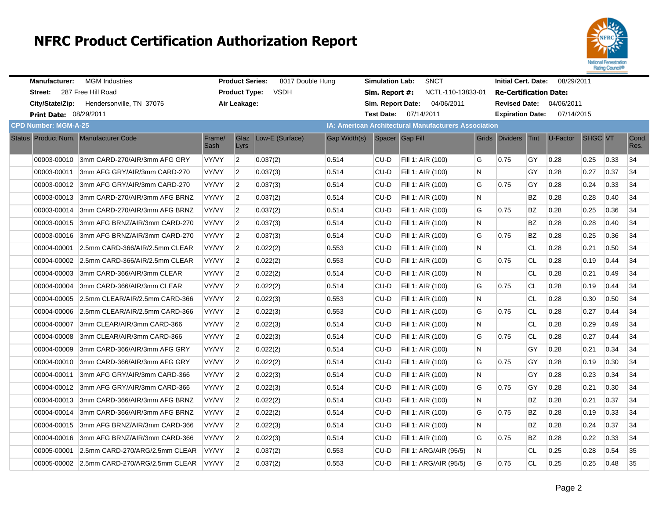

| <b>Manufacturer:</b>                  | <b>MGM Industries</b>                      |                | <b>Product Series:</b> | 8017 Double Hung |              | <b>Simulation Lab:</b> | <b>SNCT</b>                                          |   | <b>Initial Cert. Date:</b>    |           | 08/29/2011                      |         |      |               |
|---------------------------------------|--------------------------------------------|----------------|------------------------|------------------|--------------|------------------------|------------------------------------------------------|---|-------------------------------|-----------|---------------------------------|---------|------|---------------|
| Street: 287 Free Hill Road            |                                            |                | <b>Product Type:</b>   | <b>VSDH</b>      |              | Sim. Report #:         | NCTL-110-13833-01                                    |   | <b>Re-Certification Date:</b> |           |                                 |         |      |               |
|                                       | City/State/Zip: Hendersonville, TN 37075   |                | Air Leakage:           |                  |              |                        | Sim. Report Date: 04/06/2011                         |   |                               |           | <b>Revised Date: 04/06/2011</b> |         |      |               |
| <b>Print Date: 08/29/2011</b>         |                                            |                |                        |                  |              |                        | Test Date: 07/14/2011                                |   |                               |           | Expiration Date: 07/14/2015     |         |      |               |
| <b>CPD Number: MGM-A-25</b>           |                                            |                |                        |                  |              |                        | IA: American Architectural Manufacturers Association |   |                               |           |                                 |         |      |               |
| Status Product Num. Manufacturer Code |                                            | Frame/<br>Sash | Glaz<br>Lyrs           | Low-E (Surface)  | Gap Width(s) |                        | Spacer Gap Fill                                      |   | Grids Dividers Tint           |           | $U-Factor$                      | SHGC VT |      | Cond.<br>Res. |
|                                       | 00003-00010 3mm CARD-270/AIR/3mm AFG GRY   | VY/VY          | $\overline{2}$         | 0.037(2)         | 0.514        | CU-D                   | Fill 1: AIR (100)                                    | G | 0.75                          | GY        | 0.28                            | 0.25    | 0.33 | 34            |
| 00003-00011                           | 3mm AFG GRY/AIR/3mm CARD-270               | VY/VY          | $\overline{2}$         | 0.037(3)         | 0.514        | CU-D                   | Fill 1: AIR (100)                                    | N |                               | GY        | 0.28                            | 0.27    | 0.37 | 34            |
| 00003-00012                           | 3mm AFG GRY/AIR/3mm CARD-270               | VY/VY          | $\overline{2}$         | 0.037(3)         | 0.514        | CU-D                   | Fill 1: AIR (100)                                    | G | 0.75                          | GY        | 0.28                            | 0.24    | 0.33 | 34            |
|                                       | 00003-00013 3mm CARD-270/AIR/3mm AFG BRNZ  | VY/VY          | $\overline{2}$         | 0.037(2)         | 0.514        | CU-D                   | Fill 1: AIR (100)                                    | N |                               | <b>BZ</b> | 0.28                            | 0.28    | 0.40 | 34            |
| 00003-00014                           | 3mm CARD-270/AIR/3mm AFG BRNZ              | VY/VY          | $\overline{2}$         | 0.037(2)         | 0.514        | CU-D                   | Fill 1: AIR (100)                                    | G | 0.75                          | <b>BZ</b> | 0.28                            | 0.25    | 0.36 | 34            |
| 00003-00015                           | 3mm AFG BRNZ/AIR/3mm CARD-270              | VY/VY          | $\overline{2}$         | 0.037(3)         | 0.514        | CU-D                   | Fill 1: AIR (100)                                    | N |                               | BZ        | 0.28                            | 0.28    | 0.40 | 34            |
|                                       | 00003-00016 3mm AFG BRNZ/AIR/3mm CARD-270  | VY/VY          | $\overline{2}$         | 0.037(3)         | 0.514        | CU-D                   | Fill 1: AIR (100)                                    | G | 0.75                          | <b>BZ</b> | 0.28                            | 0.25    | 0.36 | 34            |
| 00004-00001                           | 2.5mm CARD-366/AIR/2.5mm CLEAR             | VY/VY          | $\overline{2}$         | 0.022(2)         | 0.553        | CU-D                   | Fill 1: AIR (100)                                    | N |                               | CL        | 0.28                            | 0.21    | 0.50 | 34            |
|                                       | 00004-00002 2.5mm CARD-366/AIR/2.5mm CLEAR | VY/VY          | $\overline{2}$         | 0.022(2)         | 0.553        | CU-D                   | Fill 1: AIR (100)                                    | G | 0.75                          | <b>CL</b> | 0.28                            | 0.19    | 0.44 | 34            |
| 00004-00003                           | 3mm CARD-366/AIR/3mm CLEAR                 | VY/VY          | $\overline{2}$         | 0.022(2)         | 0.514        | CU-D                   | Fill 1: AIR (100)                                    | N |                               | CL        | 0.28                            | 0.21    | 0.49 | 34            |
| 00004-00004                           | 3mm CARD-366/AIR/3mm CLEAR                 | VY/VY          | $\overline{2}$         | 0.022(2)         | 0.514        | CU-D                   | Fill 1: AIR (100)                                    | G | 0.75                          | <b>CL</b> | 0.28                            | 0.19    | 0.44 | 34            |
|                                       | 00004-00005 2.5mm CLEAR/AIR/2.5mm CARD-366 | VY/VY          | $\overline{2}$         | 0.022(3)         | 0.553        | CU-D                   | Fill 1: AIR (100)                                    | N |                               | CL.       | 0.28                            | 0.30    | 0.50 | 34            |
|                                       | 00004-00006 2.5mm CLEAR/AIR/2.5mm CARD-366 | VY/VY          | $\overline{2}$         | 0.022(3)         | 0.553        | CU-D                   | Fill 1: AIR (100)                                    | G | 0.75                          | <b>CL</b> | 0.28                            | 0.27    | 0.44 | 34            |
| 00004-00007                           | 3mm CLEAR/AIR/3mm CARD-366                 | VY/VY          | $\overline{2}$         | 0.022(3)         | 0.514        | CU-D                   | Fill 1: AIR (100)                                    | N |                               | <b>CL</b> | 0.28                            | 0.29    | 0.49 | 34            |
| 00004-00008                           | 3mm CLEAR/AIR/3mm CARD-366                 | VY/VY          | $\overline{2}$         | 0.022(3)         | 0.514        | CU-D                   | Fill 1: AIR (100)                                    | G | 0.75                          | CL.       | 0.28                            | 0.27    | 0.44 | 34            |
| 00004-00009                           | 3mm CARD-366/AIR/3mm AFG GRY               | VY/VY          | $\overline{2}$         | 0.022(2)         | 0.514        | CU-D                   | Fill 1: AIR (100)                                    | N |                               | GY        | 0.28                            | 0.21    | 0.34 | 34            |
|                                       | 00004-00010 3mm CARD-366/AIR/3mm AFG GRY   | VY/VY          | $\overline{2}$         | 0.022(2)         | 0.514        | CU-D                   | Fill 1: AIR (100)                                    | G | 0.75                          | GY        | 0.28                            | 0.19    | 0.30 | 34            |
| 00004-00011                           | 3mm AFG GRY/AIR/3mm CARD-366               | VY/VY          | $\overline{2}$         | 0.022(3)         | 0.514        | CU-D                   | Fill 1: AIR (100)                                    | N |                               | GY        | 0.28                            | 0.23    | 0.34 | 34            |
|                                       | 00004-00012 3mm AFG GRY/AIR/3mm CARD-366   | VY/VY          | $\vert$ 2              | 0.022(3)         | 0.514        | CU-D                   | Fill 1: AIR (100)                                    | G | 0.75                          | GY        | 0.28                            | 0.21    | 0.30 | 34            |
| 00004-00013                           | 3mm CARD-366/AIR/3mm AFG BRNZ              | VY/VY          | $\overline{2}$         | 0.022(2)         | 0.514        | CU-D                   | Fill 1: AIR (100)                                    | N |                               | BZ        | 0.28                            | 0.21    | 0.37 | 34            |
| 00004-00014                           | 3mm CARD-366/AIR/3mm AFG BRNZ              | VY/VY          | $\overline{2}$         | 0.022(2)         | 0.514        | CU-D                   | Fill 1: AIR (100)                                    | G | 0.75                          | <b>BZ</b> | 0.28                            | 0.19    | 0.33 | 34            |
|                                       | 00004-00015 3mm AFG BRNZ/AIR/3mm CARD-366  | VY/VY          | $\overline{2}$         | 0.022(3)         | 0.514        | CU-D                   | Fill 1: AIR (100)                                    | N |                               | <b>BZ</b> | 0.28                            | 0.24    | 0.37 | 34            |
| 00004-00016                           | 3mm AFG BRNZ/AIR/3mm CARD-366              | VY/VY          | $\overline{2}$         | 0.022(3)         | 0.514        | CU-D                   | Fill 1: AIR (100)                                    | G | 0.75                          | <b>BZ</b> | 0.28                            | 0.22    | 0.33 | 34            |
| 00005-00001                           | 2.5mm CARD-270/ARG/2.5mm CLEAR             | VY/VY          | $\overline{2}$         | 0.037(2)         | 0.553        | CU-D                   | Fill 1: ARG/AIR (95/5)                               | N |                               | <b>CL</b> | 0.25                            | 0.28    | 0.54 | 35            |
|                                       | 00005-00002 2.5mm CARD-270/ARG/2.5mm CLEAR | VY/VY          | $\overline{2}$         | 0.037(2)         | 0.553        | CU-D                   | Fill 1: ARG/AIR (95/5)                               | G | 0.75                          | <b>CL</b> | 0.25                            | 0.25    | 0.48 | 35            |
|                                       |                                            |                |                        |                  |              |                        |                                                      |   |                               |           |                                 |         |      |               |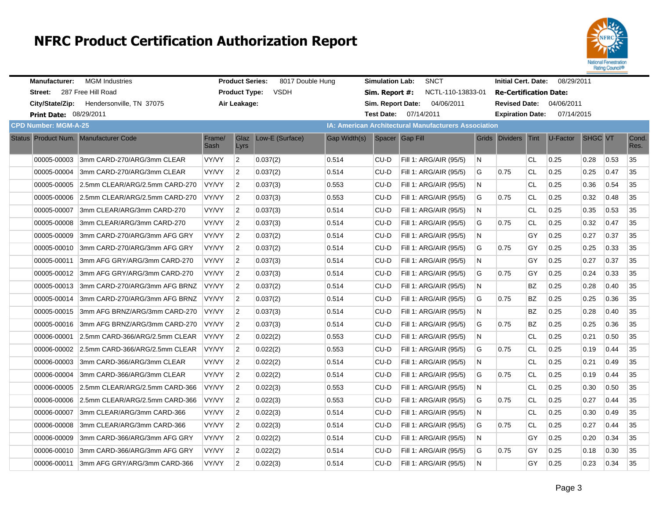

| <b>Manufacturer:</b>                  | <b>MGM</b> Industries                      |                | <b>Product Series:</b> | 8017 Double Hung |              | <b>Simulation Lab:</b> | <b>SNCT</b>                                                 |    | <b>Initial Cert. Date:</b>    |           | 08/29/2011 |                |      |               |
|---------------------------------------|--------------------------------------------|----------------|------------------------|------------------|--------------|------------------------|-------------------------------------------------------------|----|-------------------------------|-----------|------------|----------------|------|---------------|
| Street:                               | 287 Free Hill Road                         |                | <b>Product Type:</b>   | <b>VSDH</b>      |              | Sim. Report #:         | NCTL-110-13833-01                                           |    | <b>Re-Certification Date:</b> |           |            |                |      |               |
| City/State/Zip:                       | Hendersonville, TN 37075                   |                | Air Leakage:           |                  |              | Sim. Report Date:      | 04/06/2011                                                  |    | <b>Revised Date:</b>          |           | 04/06/2011 |                |      |               |
| <b>Print Date: 08/29/2011</b>         |                                            |                |                        |                  |              |                        | Test Date: 07/14/2011                                       |    | <b>Expiration Date:</b>       |           | 07/14/2015 |                |      |               |
| <b>CPD Number: MGM-A-25</b>           |                                            |                |                        |                  |              |                        | <b>IA: American Architectural Manufacturers Association</b> |    |                               |           |            |                |      |               |
| Status Product Num. Manufacturer Code |                                            | Frame/<br>Sash | Glaz<br>Lyrs           | Low-E (Surface)  | Gap Width(s) |                        | Spacer Gap Fill                                             |    | Grids Dividers Tint           |           | U-Factor   | <b>SHGC VT</b> |      | Cond.<br>Res. |
| 00005-00003                           | 3mm CARD-270/ARG/3mm CLEAR                 | <b>VY/VY</b>   | $\overline{2}$         | 0.037(2)         | 0.514        | CU-D                   | Fill 1: ARG/AIR (95/5)                                      | N  |                               | CL.       | 0.25       | 0.28           | 0.53 | 35            |
| 00005-00004                           | 3mm CARD-270/ARG/3mm CLEAR                 | <b>VY/VY</b>   | $\overline{2}$         | 0.037(2)         | 0.514        | CU-D                   | Fill 1: ARG/AIR (95/5)                                      | G  | 0.75                          | <b>CL</b> | 0.25       | 0.25           | 0.47 | 35            |
|                                       | 00005-00005 2.5mm CLEAR/ARG/2.5mm CARD-270 | VY/VY          | $\overline{2}$         | 0.037(3)         | 0.553        | CU-D                   | Fill 1: ARG/AIR (95/5)                                      | N  |                               | <b>CL</b> | 0.25       | 0.36           | 0.54 | 35            |
| 00005-00006                           | 2.5mm CLEAR/ARG/2.5mm CARD-270             | VY/VY          | $\overline{2}$         | 0.037(3)         | 0.553        | CU-D                   | Fill 1: ARG/AIR (95/5)                                      | G  | 0.75                          | <b>CL</b> | 0.25       | 0.32           | 0.48 | 35            |
| 00005-00007                           | 3mm CLEAR/ARG/3mm CARD-270                 | VY/VY          | $\overline{2}$         | 0.037(3)         | 0.514        | CU-D                   | Fill 1: ARG/AIR (95/5)                                      | N  |                               | CL        | 0.25       | 0.35           | 0.53 | 35            |
| 00005-00008                           | 3mm CLEAR/ARG/3mm CARD-270                 | VY/VY          | $\overline{2}$         | 0.037(3)         | 0.514        | CU-D                   | Fill 1: ARG/AIR (95/5)                                      | G  | 0.75                          | CL        | 0.25       | 0.32           | 0.47 | 35            |
| 00005-00009                           | 3mm CARD-270/ARG/3mm AFG GRY               | VY/VY          | $\overline{2}$         | 0.037(2)         | 0.514        | CU-D                   | Fill 1: ARG/AIR (95/5)                                      | N  |                               | GY        | 0.25       | 0.27           | 0.37 | 35            |
|                                       | 00005-00010 3mm CARD-270/ARG/3mm AFG GRY   | <b>VY/VY</b>   | $\overline{2}$         | 0.037(2)         | 0.514        | CU-D                   | Fill 1: ARG/AIR (95/5)                                      | G  | 0.75                          | GY        | 0.25       | 0.25           | 0.33 | 35            |
| 00005-00011                           | 3mm AFG GRY/ARG/3mm CARD-270               | VY/VY          | $\overline{2}$         | 0.037(3)         | 0.514        | CU-D                   | Fill 1: ARG/AIR (95/5)                                      | N  |                               | GY        | 0.25       | 0.27           | 0.37 | 35            |
|                                       | 00005-00012 3mm AFG GRY/ARG/3mm CARD-270   | <b>VY/VY</b>   | $\overline{2}$         | 0.037(3)         | 0.514        | CU-D                   | Fill 1: ARG/AIR (95/5)                                      | G  | 0.75                          | GY        | 0.25       | 0.24           | 0.33 | 35            |
|                                       | 00005-00013 3mm CARD-270/ARG/3mm AFG BRNZ  | VY/VY          | $\overline{2}$         | 0.037(2)         | 0.514        | CU-D                   | Fill 1: ARG/AIR (95/5)                                      | N  |                               | ΒZ        | 0.25       | 0.28           | 0.40 | 35            |
| 00005-00014                           | 3mm CARD-270/ARG/3mm AFG BRNZ              | <b>VY/VY</b>   | $\overline{2}$         | 0.037(2)         | 0.514        | CU-D                   | Fill 1: ARG/AIR (95/5)                                      | G  | 0.75                          | ΒZ        | 0.25       | 0.25           | 0.36 | 35            |
|                                       | 00005-00015 3mm AFG BRNZ/ARG/3mm CARD-270  | VY/VY          | $\overline{2}$         | 0.037(3)         | 0.514        | CU-D                   | Fill 1: ARG/AIR (95/5)                                      | N  |                               | ΒZ        | 0.25       | 0.28           | 0.40 | 35            |
| 00005-00016                           | 3mm AFG BRNZ/ARG/3mm CARD-270              | <b>VY/VY</b>   | $\overline{2}$         | 0.037(3)         | 0.514        | CU-D                   | Fill 1: ARG/AIR (95/5)                                      | G  | 0.75                          | BZ        | 0.25       | 0.25           | 0.36 | 35            |
| 00006-00001                           | 2.5mm CARD-366/ARG/2.5mm CLEAR             | VY/VY          | $\overline{2}$         | 0.022(2)         | 0.553        | CU-D                   | Fill 1: ARG/AIR (95/5)                                      | N  |                               | CL        | 0.25       | 0.21           | 0.50 | 35            |
|                                       | 00006-00002 2.5mm CARD-366/ARG/2.5mm CLEAR | VY/VY          | $\overline{2}$         | 0.022(2)         | 0.553        | $CU-D$                 | Fill 1: ARG/AIR (95/5)                                      | G  | 0.75                          | <b>CL</b> | 0.25       | 0.19           | 0.44 | 35            |
| 00006-00003                           | 3mm CARD-366/ARG/3mm CLEAR                 | VY/VY          | $\overline{2}$         | 0.022(2)         | 0.514        | CU-D                   | Fill 1: ARG/AIR (95/5)                                      | N  |                               | <b>CL</b> | 0.25       | 0.21           | 0.49 | 35            |
| 00006-00004                           | 3mm CARD-366/ARG/3mm CLEAR                 | VY/VY          | $\overline{2}$         | 0.022(2)         | 0.514        | $CU-D$                 | Fill 1: ARG/AIR (95/5)                                      | G  | 0.75                          | <b>CL</b> | 0.25       | 0.19           | 0.44 | 35            |
| 00006-00005                           | 2.5mm CLEAR/ARG/2.5mm CARD-366             | VY/VY          | $\overline{2}$         | 0.022(3)         | 0.553        | CU-D                   | Fill 1: ARG/AIR (95/5)                                      | N  |                               | CL.       | 0.25       | 0.30           | 0.50 | 35            |
| 00006-00006                           | 2.5mm CLEAR/ARG/2.5mm CARD-366             | VY/VY          | $\overline{2}$         | 0.022(3)         | 0.553        | CU-D                   | Fill 1: ARG/AIR (95/5)                                      | G  | 0.75                          | CL        | 0.25       | 0.27           | 0.44 | 35            |
| 00006-00007                           | 3mm CLEAR/ARG/3mm CARD-366                 | <b>VY/VY</b>   | $\overline{2}$         | 0.022(3)         | 0.514        | CU-D                   | Fill 1: ARG/AIR (95/5)                                      | N. |                               | CL.       | 0.25       | 0.30           | 0.49 | 35            |
| 00006-00008                           | 3mm CLEAR/ARG/3mm CARD-366                 | VY/VY          | $\overline{2}$         | 0.022(3)         | 0.514        | CU-D                   | Fill 1: ARG/AIR (95/5)                                      | G  | 0.75                          | CL        | 0.25       | 0.27           | 0.44 | 35            |
| 00006-00009                           | 3mm CARD-366/ARG/3mm AFG GRY               | <b>VY/VY</b>   | $\overline{2}$         | 0.022(2)         | 0.514        | CU-D                   | Fill 1: ARG/AIR (95/5)                                      | N. |                               | GY        | 0.25       | 0.20           | 0.34 | 35            |
| 00006-00010                           | 3mm CARD-366/ARG/3mm AFG GRY               | VY/VY          | $\overline{2}$         | 0.022(2)         | 0.514        | CU-D                   | Fill 1: ARG/AIR (95/5)                                      | G  | 0.75                          | GY        | 0.25       | 0.18           | 0.30 | 35            |
| 00006-00011                           | 3mm AFG GRY/ARG/3mm CARD-366               | <b>VY/VY</b>   | $\overline{2}$         | 0.022(3)         | 0.514        | CU-D                   | Fill 1: ARG/AIR (95/5)                                      | N. |                               | GY        | 0.25       | 0.23           | 0.34 | 35            |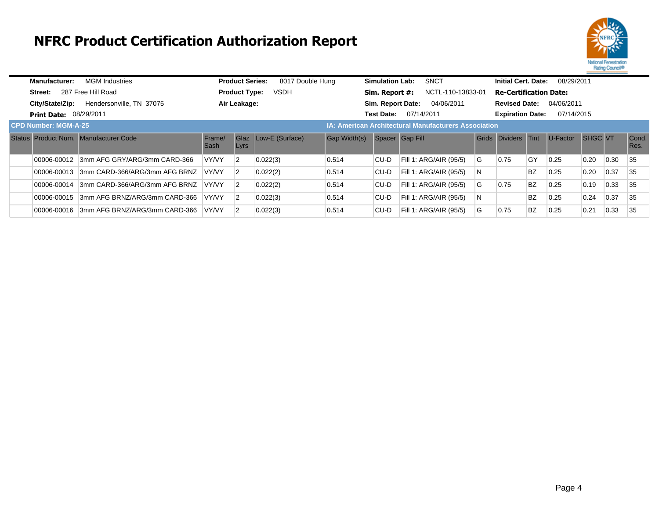

| Manufacturer:                 | <b>MGM Industries</b>                 |                | <b>Product Series:</b>                                      | 8017 Double Hung |              | <b>Simulation Lab:</b> | <b>SNCT</b>            |   | <b>Initial Cert. Date:</b>    |           | 08/29/2011 |                |      |               |
|-------------------------------|---------------------------------------|----------------|-------------------------------------------------------------|------------------|--------------|------------------------|------------------------|---|-------------------------------|-----------|------------|----------------|------|---------------|
| Street:                       | 287 Free Hill Road                    |                | <b>Product Type:</b>                                        | <b>VSDH</b>      |              | Sim. Report #:         | NCTL-110-13833-01      |   | <b>Re-Certification Date:</b> |           |            |                |      |               |
| City/State/Zip:               | Hendersonville, TN 37075              |                | Air Leakage:                                                |                  |              | Sim. Report Date:      | 04/06/2011             |   | <b>Revised Date:</b>          |           | 04/06/2011 |                |      |               |
| <b>Print Date: 08/29/2011</b> |                                       |                |                                                             |                  |              | <b>Test Date:</b>      | 07/14/2011             |   | <b>Expiration Date:</b>       |           | 07/14/2015 |                |      |               |
| <b>CPD Number: MGM-A-25</b>   |                                       |                | <b>IA: American Architectural Manufacturers Association</b> |                  |              |                        |                        |   |                               |           |            |                |      |               |
|                               | Status Product Num. Manufacturer Code | Frame/<br>Sash | <b>Glaz</b><br>Lyrs                                         | Low-E (Surface)  | Gap Width(s) | Spacer Gap Fill        |                        |   | Grids Dividers Tint           |           | U-Factor   | <b>SHGC VT</b> |      | Cond.<br>Res. |
| 00006-00012                   | 3mm AFG GRY/ARG/3mm CARD-366          | VY/VY          | $\overline{2}$                                              | 0.022(3)         | 0.514        | CU-D                   | Fill 1: ARG/AIR (95/5) | G | 0.75                          | <b>GY</b> | 0.25       | 0.20           | 0.30 | 35            |
| 00006-00013                   | 3mm CARD-366/ARG/3mm AFG BRNZ         | <b>VY/VY</b>   | $\overline{2}$                                              | 0.022(2)         | 0.514        | CU-D                   | Fill 1: ARG/AIR (95/5) | N |                               | <b>BZ</b> | 0.25       | 0.20           | 0.37 | 35            |
| 00006-00014                   | 3mm CARD-366/ARG/3mm AFG BRNZ         | <b>VY/VY</b>   | $\overline{2}$                                              | 0.022(2)         | 0.514        | CU-D                   | Fill 1: ARG/AIR (95/5) | G | 0.75                          | <b>BZ</b> | 0.25       | 0.19           | 0.33 | 35            |
| 00006-00015                   | 3mm AFG BRNZ/ARG/3mm CARD-366         | VY/VY          | $\overline{2}$                                              | 0.022(3)         | 0.514        | CU-D                   | Fill 1: ARG/AIR (95/5) | N |                               | <b>BZ</b> | 0.25       | 0.24           | 0.37 | 35            |
| 00006-00016                   | 3mm AFG BRNZ/ARG/3mm CARD-366         | <b>VY/VY</b>   | $\overline{2}$                                              | 0.022(3)         | 0.514        | CU-D                   | Fill 1: ARG/AIR (95/5) | G | 0.75                          | <b>BZ</b> | 0.25       | 0.21           | 0.33 | 35            |